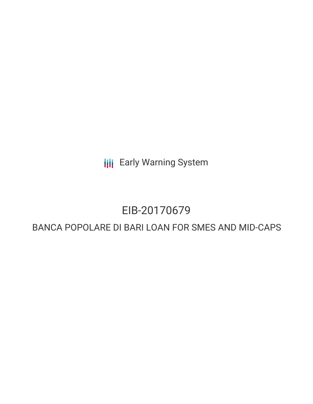**III** Early Warning System

# EIB-20170679

# BANCA POPOLARE DI BARI LOAN FOR SMES AND MID-CAPS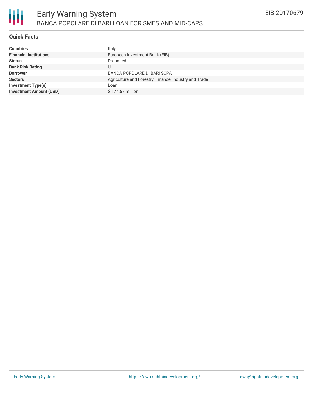

## **Quick Facts**

| <b>Countries</b>               | Italy                                                 |
|--------------------------------|-------------------------------------------------------|
| <b>Financial Institutions</b>  | European Investment Bank (EIB)                        |
| <b>Status</b>                  | Proposed                                              |
| <b>Bank Risk Rating</b>        |                                                       |
| <b>Borrower</b>                | BANCA POPOLARE DI BARI SCPA                           |
| <b>Sectors</b>                 | Agriculture and Forestry, Finance, Industry and Trade |
| <b>Investment Type(s)</b>      | Loan                                                  |
| <b>Investment Amount (USD)</b> | \$174.57 million                                      |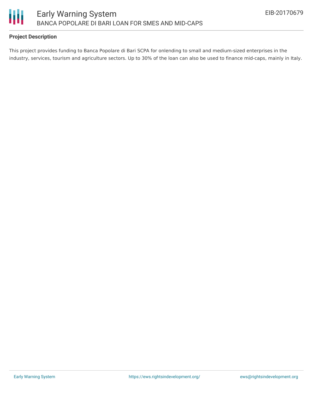

## **Project Description**

This project provides funding to Banca Popolare di Bari SCPA for onlending to small and medium-sized enterprises in the industry, services, tourism and agriculture sectors. Up to 30% of the loan can also be used to finance mid-caps, mainly in Italy.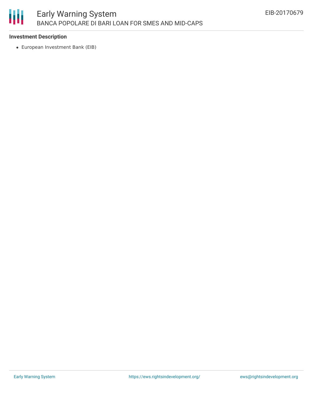

#### **Investment Description**

European Investment Bank (EIB)